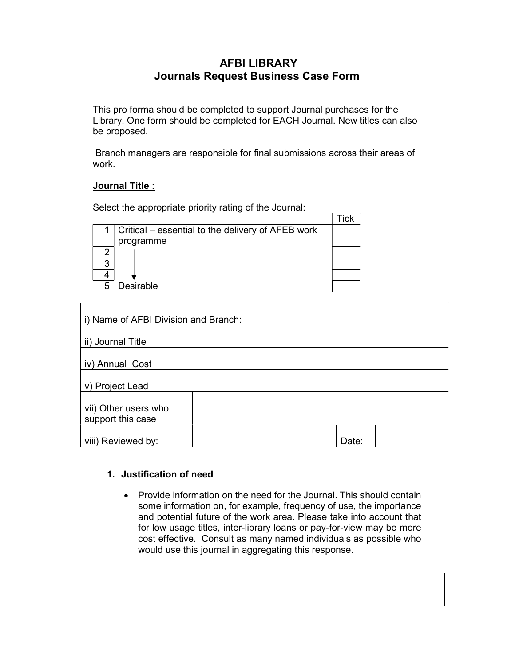## AFBI LIBRARY Journals Request Business Case Form

This pro forma should be completed to support Journal purchases for the Library. One form should be completed for EACH Journal. New titles can also be proposed.

Branch managers are responsible for final submissions across their areas of work.

## Journal Title :

Select the appropriate priority rating of the Journal:

|   | Critical – essential to the delivery of AFEB work |  |
|---|---------------------------------------------------|--|
|   | programme                                         |  |
| ⌒ |                                                   |  |
| 3 |                                                   |  |
|   |                                                   |  |
|   | Desirable                                         |  |

| i) Name of AFBI Division and Branch: |       |
|--------------------------------------|-------|
|                                      |       |
| ii) Journal Title                    |       |
|                                      |       |
| iv) Annual Cost                      |       |
|                                      |       |
| v) Project Lead                      |       |
|                                      |       |
| vii) Other users who                 |       |
| support this case                    |       |
|                                      |       |
| viii) Reviewed by:                   | Date: |

## 1. Justification of need

• Provide information on the need for the Journal. This should contain some information on, for example, frequency of use, the importance and potential future of the work area. Please take into account that for low usage titles, inter-library loans or pay-for-view may be more cost effective. Consult as many named individuals as possible who would use this journal in aggregating this response.